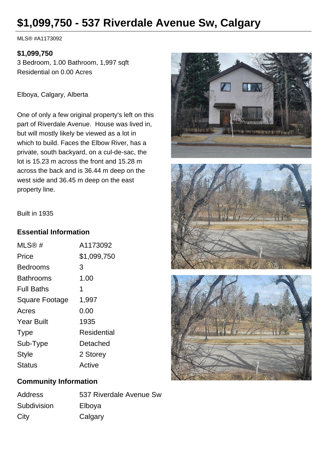# **\$1,099,750 - 537 Riverdale Avenue Sw, Calgary**

MLS® #A1173092

### **\$1,099,750**

3 Bedroom, 1.00 Bathroom, 1,997 sqft Residential on 0.00 Acres

Elboya, Calgary, Alberta

One of only a few original property's left on this part of Riverdale Avenue. House was lived in, but will mostly likely be viewed as a lot in which to build. Faces the Elbow River, has a private, south backyard, on a cul-de-sac, the lot is 15.23 m across the front and 15.28 m across the back and is 36.44 m deep on the west side and 36.45 m deep on the east property line.







#### Built in 1935

#### **Essential Information**

| MLS@#                 | A1173092    |
|-----------------------|-------------|
| Price                 | \$1,099,750 |
| Bedrooms              | 3           |
| <b>Bathrooms</b>      | 1.00        |
| <b>Full Baths</b>     | 1           |
| <b>Square Footage</b> | 1,997       |
| Acres                 | 0.00        |
| <b>Year Built</b>     | 1935        |
| <b>Type</b>           | Residential |
| Sub-Type              | Detached    |
| <b>Style</b>          | 2 Storey    |
| <b>Status</b>         | Active      |
|                       |             |

### **Community Information**

| <b>Address</b> | 537 Riverdale Avenue Sw |
|----------------|-------------------------|
| Subdivision    | Elboya                  |
| City           | Calgary                 |